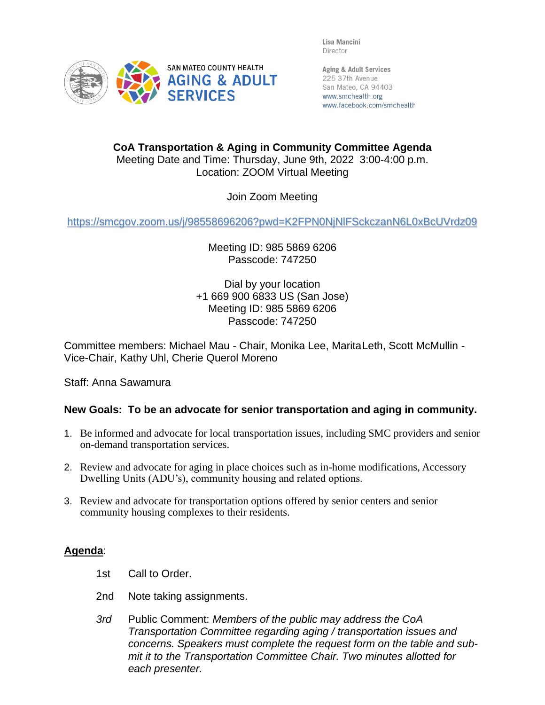Lisa Mancini Director



Aging & Adult Services 225 37th Avenue San Mateo, CA 94403 www.smchealth.org www.facebook.com/smchealth

**CoA Transportation & Aging in Community Committee Agenda** Meeting Date and Time: Thursday, June 9th, 2022 3:00-4:00 p.m. Location: ZOOM Virtual Meeting

Join Zoom Meeting

<https://smcgov.zoom.us/j/98558696206?pwd=K2FPN0NjNlFSckczanN6L0xBcUVrdz09>

Meeting ID: 985 5869 6206 Passcode: 747250

Dial by your location +1 669 900 6833 US (San Jose) Meeting ID: 985 5869 6206 Passcode: 747250

Committee members: Michael Mau - Chair, Monika Lee, MaritaLeth, Scott McMullin - Vice-Chair, Kathy Uhl, Cherie Querol Moreno

Staff: Anna Sawamura

## **New Goals: To be an advocate for senior transportation and aging in community.**

- 1. Be informed and advocate for local transportation issues, including SMC providers and senior on-demand transportation services.
- 2. Review and advocate for aging in place choices such as in-home modifications, Accessory Dwelling Units (ADU's), community housing and related options.
- 3. Review and advocate for transportation options offered by senior centers and senior community housing complexes to their residents.

## **Agenda**:

- 1st Call to Order.
- 2nd Note taking assignments.
- *3rd* Public Comment: *Members of the public may address the CoA Transportation Committee regarding aging / transportation issues and concerns. Speakers must complete the request form on the table and submit it to the Transportation Committee Chair. Two minutes allotted for each presenter.*